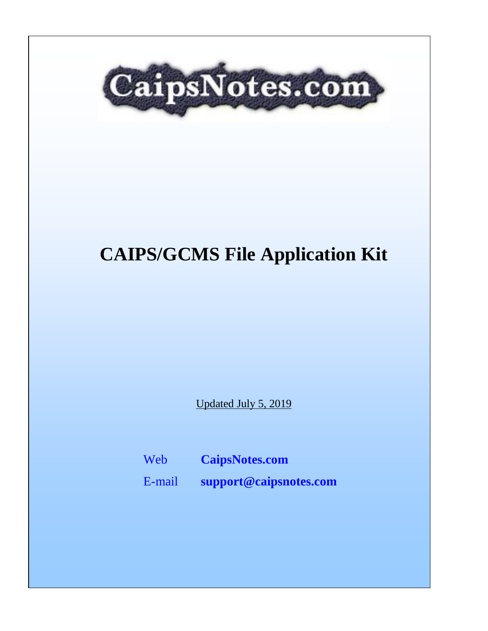

# **CAIPS/GCMS File Application Kit**

Updated July 5, 2019

Web **[CaipsNotes.com](http://caipsnotes.com/)**

E-mail **[support@caipsnotes.com](mailto:support@caipsnotes.com)**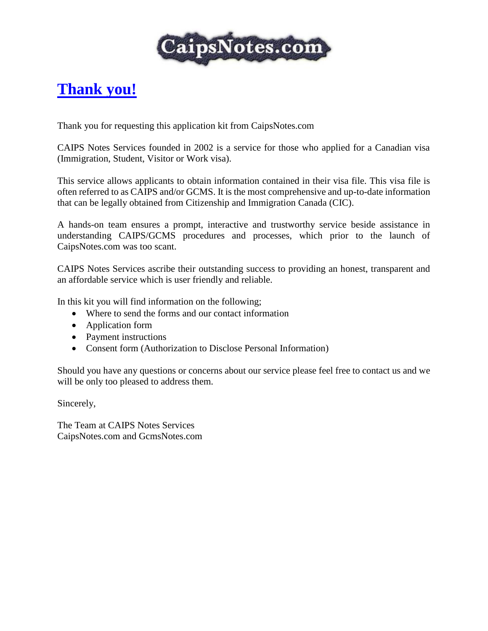

## **Thank you!**

Thank you for requesting this application kit from CaipsNotes.com

CAIPS Notes Services founded in 2002 is a service for those who applied for a Canadian visa (Immigration, Student, Visitor or Work visa).

This service allows applicants to obtain information contained in their visa file. This visa file is often referred to as CAIPS and/or GCMS. It is the most comprehensive and up-to-date information that can be legally obtained from Citizenship and Immigration Canada (CIC).

A hands-on team ensures a prompt, interactive and trustworthy service beside assistance in understanding CAIPS/GCMS procedures and processes, which prior to the launch of CaipsNotes.com was too scant.

CAIPS Notes Services ascribe their outstanding success to providing an honest, transparent and an affordable service which is user friendly and reliable.

In this kit you will find information on the following;

- Where to send the forms and our contact information
- Application form
- Payment instructions
- Consent form (Authorization to Disclose Personal Information)

Should you have any questions or concerns about our service please feel free to contact us and we will be only too pleased to address them.

Sincerely,

The Team at CAIPS Notes Services CaipsNotes.com and GcmsNotes.com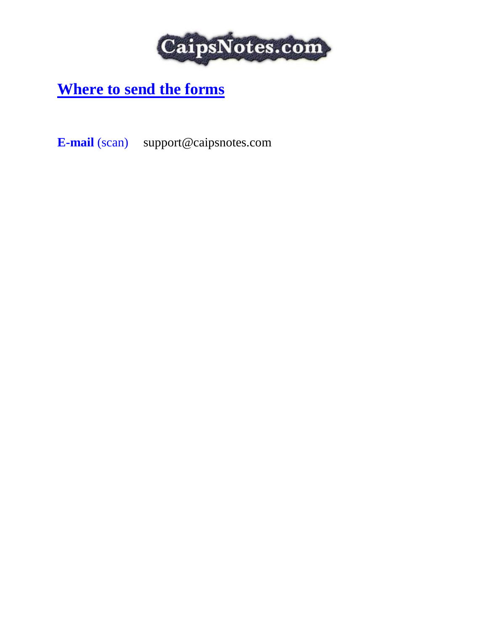

## **Where to send the forms**

**E-mail** (scan) support@caipsnotes.com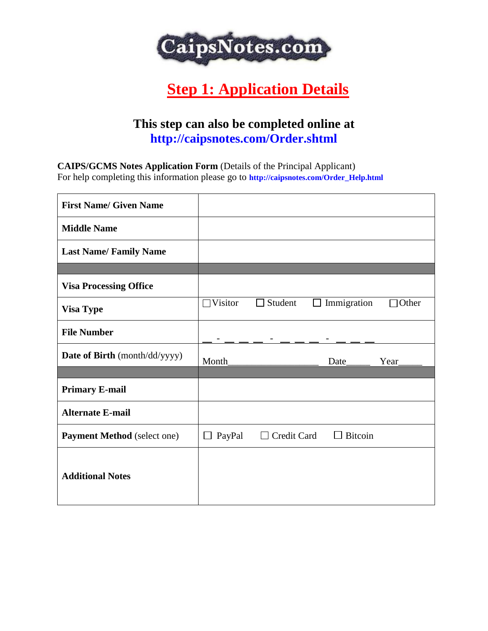

## **Step 1: Application Details**

### **This step can also be completed online at http://caipsnotes.com/Order.shtml**

**CAIPS/GCMS Notes Application Form** (Details of the Principal Applicant)

For help completing this information please go to **http://caipsnotes.com/Order\_Help.html**

| <b>First Name/ Given Name</b>      |                  |                    |      |                |              |
|------------------------------------|------------------|--------------------|------|----------------|--------------|
| <b>Middle Name</b>                 |                  |                    |      |                |              |
| <b>Last Name/Family Name</b>       |                  |                    |      |                |              |
|                                    |                  |                    |      |                |              |
| <b>Visa Processing Office</b>      |                  |                    |      |                |              |
| <b>Visa Type</b>                   | $\Box$ Visitor   | $\Box$ Student     | ப    | Immigration    | $\Box$ Other |
| <b>File Number</b>                 |                  |                    |      |                |              |
| Date of Birth (month/dd/yyyy)      | Month            |                    | Date |                | Year         |
|                                    |                  |                    |      |                |              |
| <b>Primary E-mail</b>              |                  |                    |      |                |              |
| <b>Alternate E-mail</b>            |                  |                    |      |                |              |
| <b>Payment Method</b> (select one) | PayPal<br>$\Box$ | $\Box$ Credit Card |      | $\Box$ Bitcoin |              |
| <b>Additional Notes</b>            |                  |                    |      |                |              |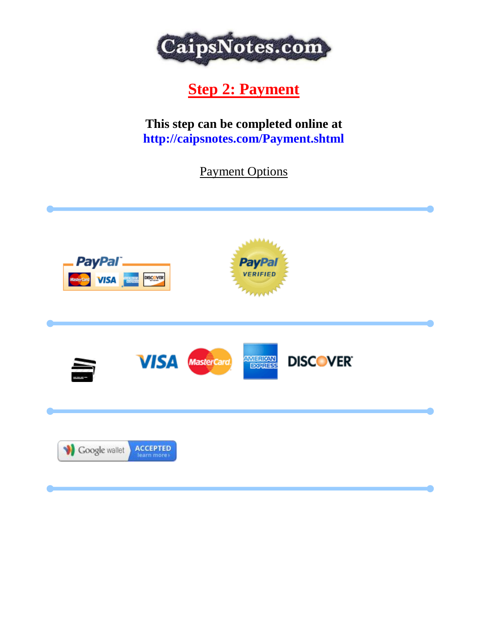

## **Step 2: Payment**

**This step can be completed online at http://caipsnotes.com/Payment.shtml**

Payment Options